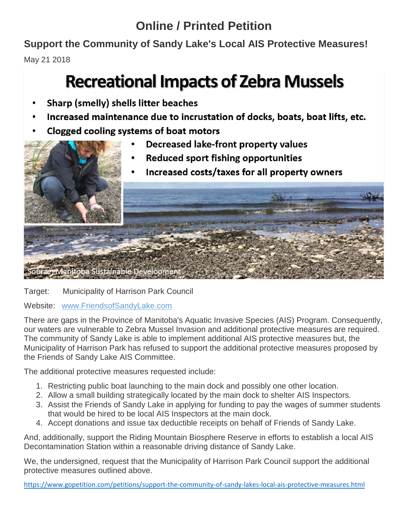### **Online / Printed Petition**

**Support the Community of Sandy Lake's Local AIS Protective Measures!**

May 21 2018

# **Recreational Impacts of Zebra Mussels**

- Sharp (smelly) shells litter beaches
- Increased maintenance due to incrustation of docks, boats, boat lifts, etc.
- Clogged cooling systems of boat motors
	- Decreased lake-front property values
	- **Reduced sport fishing opportunities**
	- Increased costs/taxes for all property owners



Target: Municipality of Harrison Park Council

Website: [www.FriendsofSandyLake.com](http://www.friendsofsandylake.com/)

There are gaps in the Province of Manitoba's Aquatic Invasive Species (AIS) Program. Consequently, our waters are vulnerable to Zebra Mussel Invasion and additional protective measures are required. The community of Sandy Lake is able to implement additional AIS protective measures but, the Municipality of Harrison Park has refused to support the additional protective measures proposed by the Friends of Sandy Lake AIS Committee.

The additional protective measures requested include:

- 1. Restricting public boat launching to the main dock and possibly one other location.
- 2. Allow a small building strategically located by the main dock to shelter AIS Inspectors.
- 3. Assist the Friends of Sandy Lake in applying for funding to pay the wages of summer students that would be hired to be local AIS Inspectors at the main dock.
- 4. Accept donations and issue tax deductible receipts on behalf of Friends of Sandy Lake.

And, additionally, support the Riding Mountain Biosphere Reserve in efforts to establish a local AIS Decontamination Station within a reasonable driving distance of Sandy Lake.

We, the undersigned, request that the Municipality of Harrison Park Council support the additional protective measures outlined above.

<https://www.gopetition.com/petitions/support-the-community-of-sandy-lakes-local-ais-protective-measures.html>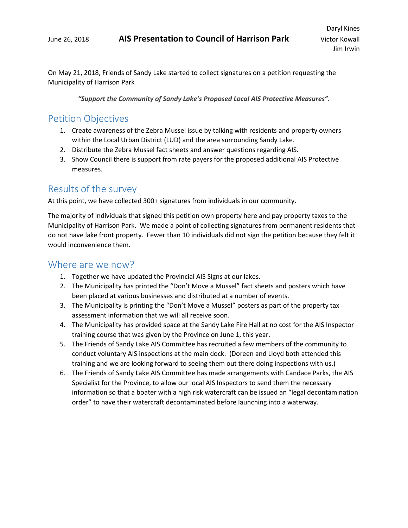On May 21, 2018, Friends of Sandy Lake started to collect signatures on a petition requesting the Municipality of Harrison Park

*"Support the Community of Sandy Lake's Proposed Local AIS Protective Measures".*

#### Petition Objectives

- 1. Create awareness of the Zebra Mussel issue by talking with residents and property owners within the Local Urban District (LUD) and the area surrounding Sandy Lake.
- 2. Distribute the Zebra Mussel fact sheets and answer questions regarding AIS.
- 3. Show Council there is support from rate payers for the proposed additional AIS Protective measures.

#### Results of the survey

At this point, we have collected 300+ signatures from individuals in our community.

The majority of individuals that signed this petition own property here and pay property taxes to the Municipality of Harrison Park. We made a point of collecting signatures from permanent residents that do not have lake front property. Fewer than 10 individuals did not sign the petition because they felt it would inconvenience them.

#### Where are we now?

- 1. Together we have updated the Provincial AIS Signs at our lakes.
- 2. The Municipality has printed the "Don't Move a Mussel" fact sheets and posters which have been placed at various businesses and distributed at a number of events.
- 3. The Municipality is printing the "Don't Move a Mussel" posters as part of the property tax assessment information that we will all receive soon.
- 4. The Municipality has provided space at the Sandy Lake Fire Hall at no cost for the AIS Inspector training course that was given by the Province on June 1, this year.
- 5. The Friends of Sandy Lake AIS Committee has recruited a few members of the community to conduct voluntary AIS inspections at the main dock. (Doreen and Lloyd both attended this training and we are looking forward to seeing them out there doing inspections with us.)
- 6. The Friends of Sandy Lake AIS Committee has made arrangements with Candace Parks, the AIS Specialist for the Province, to allow our local AIS Inspectors to send them the necessary information so that a boater with a high risk watercraft can be issued an "legal decontamination order" to have their watercraft decontaminated before launching into a waterway.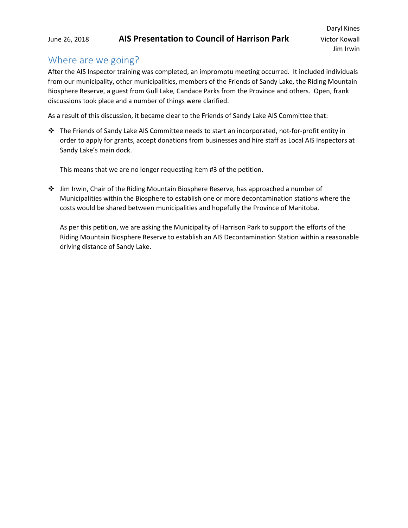#### Where are we going?

After the AIS Inspector training was completed, an impromptu meeting occurred. It included individuals from our municipality, other municipalities, members of the Friends of Sandy Lake, the Riding Mountain Biosphere Reserve, a guest from Gull Lake, Candace Parks from the Province and others. Open, frank discussions took place and a number of things were clarified.

As a result of this discussion, it became clear to the Friends of Sandy Lake AIS Committee that:

 The Friends of Sandy Lake AIS Committee needs to start an incorporated, not-for-profit entity in order to apply for grants, accept donations from businesses and hire staff as Local AIS Inspectors at Sandy Lake's main dock.

This means that we are no longer requesting item #3 of the petition.

 Jim Irwin, Chair of the Riding Mountain Biosphere Reserve, has approached a number of Municipalities within the Biosphere to establish one or more decontamination stations where the costs would be shared between municipalities and hopefully the Province of Manitoba.

As per this petition, we are asking the Municipality of Harrison Park to support the efforts of the Riding Mountain Biosphere Reserve to establish an AIS Decontamination Station within a reasonable driving distance of Sandy Lake.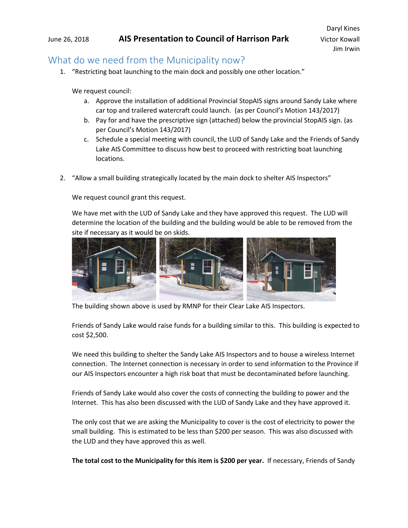#### What do we need from the Municipality now?

1. "Restricting boat launching to the main dock and possibly one other location."

We request council:

- a. Approve the installation of additional Provincial StopAIS signs around Sandy Lake where car top and trailered watercraft could launch. (as per Council's Motion 143/2017)
- b. Pay for and have the prescriptive sign (attached) below the provincial StopAIS sign. (as per Council's Motion 143/2017)
- c. Schedule a special meeting with council, the LUD of Sandy Lake and the Friends of Sandy Lake AIS Committee to discuss how best to proceed with restricting boat launching locations.
- 2. "Allow a small building strategically located by the main dock to shelter AIS Inspectors"

We request council grant this request.

We have met with the LUD of Sandy Lake and they have approved this request. The LUD will determine the location of the building and the building would be able to be removed from the site if necessary as it would be on skids.



The building shown above is used by RMNP for their Clear Lake AIS Inspectors.

Friends of Sandy Lake would raise funds for a building similar to this. This building is expected to cost \$2,500.

We need this building to shelter the Sandy Lake AIS Inspectors and to house a wireless Internet connection. The Internet connection is necessary in order to send information to the Province if our AIS Inspectors encounter a high risk boat that must be decontaminated before launching.

Friends of Sandy Lake would also cover the costs of connecting the building to power and the Internet. This has also been discussed with the LUD of Sandy Lake and they have approved it.

The only cost that we are asking the Municipality to cover is the cost of electricity to power the small building. This is estimated to be less than \$200 per season. This was also discussed with the LUD and they have approved this as well.

**The total cost to the Municipality for this item is \$200 per year.** If necessary, Friends of Sandy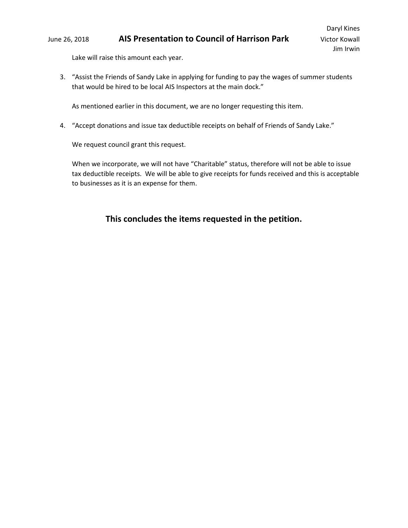Lake will raise this amount each year.

3. "Assist the Friends of Sandy Lake in applying for funding to pay the wages of summer students that would be hired to be local AIS Inspectors at the main dock."

As mentioned earlier in this document, we are no longer requesting this item.

4. "Accept donations and issue tax deductible receipts on behalf of Friends of Sandy Lake."

We request council grant this request.

When we incorporate, we will not have "Charitable" status, therefore will not be able to issue tax deductible receipts. We will be able to give receipts for funds received and this is acceptable to businesses as it is an expense for them.

#### **This concludes the items requested in the petition.**